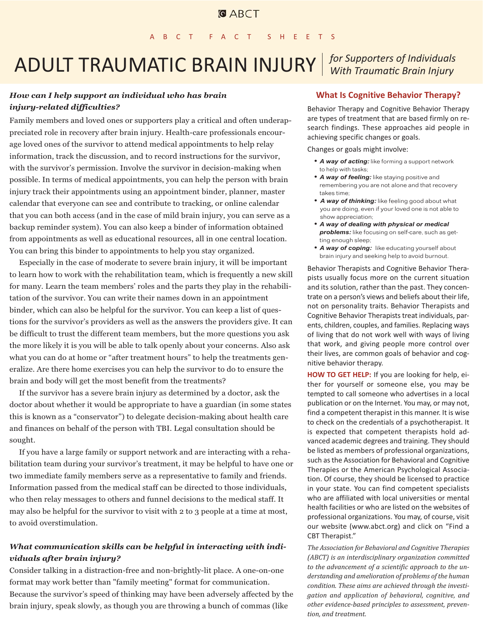# ADULT TRAUMATIC BRAIN INJURY *for Supporters of Individuals*

## *How can I help support an individual who has brain injury-related difficulties?*

Family members and loved ones or supporters play a critical and often underappreciated role in recovery after brain injury. Health-care professionals encourage loved ones of the survivor to attend medical appointments to help relay information, track the discussion, and to record instructions for the survivor, with the survivor's permission. Involve the survivor in decision-making when possible. In terms of medical appointments, you can help the person with brain injury track their appointments using an appointment binder, planner, master calendar that everyone can see and contribute to tracking, or online calendar that you can both access (and in the case of mild brain injury, you can serve as a backup reminder system). You can also keep a binder of information obtained from appointments as well as educational resources, all in one central location. You can bring this binder to appointments to help you stay organized.

Especially in the case of moderate to severe brain injury, it will be important to learn how to work with the rehabilitation team, which is frequently a new skill for many. Learn the team members' roles and the parts they play in the rehabilitation of the survivor. You can write their names down in an appointment binder, which can also be helpful for the survivor. You can keep a list of questions for the survivor's providers as well as the answers the providers give. It can be difficult to trust the different team members, but the more questions you ask the more likely it is you will be able to talk openly about your concerns. Also ask what you can do at home or "after treatment hours" to help the treatments generalize. Are there home exercises you can help the survivor to do to ensure the brain and body will get the most benefit from the treatments?

If the survivor has a severe brain injury as determined by a doctor, ask the doctor about whether it would be appropriate to have a guardian (in some states this is known as a "conservator") to delegate decision-making about health care and finances on behalf of the person with TBI. Legal consultation should be sought.

If you have a large family or support network and are interacting with a rehabilitation team during your survivor's treatment, it may be helpful to have one or two immediate family members serve as a representative to family and friends. Information passed from the medical staff can be directed to those individuals, who then relay messages to others and funnel decisions to the medical staff. It may also be helpful for the survivor to visit with 2 to 3 people at a time at most, to avoid overstimulation.

## *What communication skills can be helpful in interacting with individuals after brain injury?*

Consider talking in a distraction-free and non-brightly-lit place. A one-on-one format may work better than "family meeting" format for communication. Because the survivor's speed of thinking may have been adversely affected by the brain injury, speak slowly, as though you are throwing a bunch of commas (like

#### **What Is Cognitive Behavior Therapy?**

Behavior Therapy and Cognitive Behavior Therapy are types of treatment that are based firmly on research findings. These approaches aid people in achieving specific changes or goals.

Changes or goals might involve:

- *A way of acting:* like forming a support network to help with tasks;
- *A way of feeling:* like staying positive and remembering you are not alone and that recovery takes time;
- *A way of thinking:* like feeling good about what you are doing, even if your loved one is not able to show appreciation;
- *A way of dealing with physical or medical problems:* like focusing on self-care, such as getting enough sleep;
- *A way of coping:* like educating yourself about brain injury and seeking help to avoid burnout.

Behavior Therapists and Cognitive Behavior Therapists usually focus more on the current situation and its solution, rather than the past. They concentrate on a person's views and beliefs about their life, not on personality traits. Behavior Therapists and Cognitive Behavior Therapists treat individuals, parents, children, couples, and families. Replacing ways of living that do not work well with ways of living that work, and giving people more control over their lives, are common goals of behavior and cognitive behavior therapy.

**HOW TO GET HELP:** If you are looking for help, either for yourself or someone else, you may be tempted to call someone who advertises in a local publication or on the Internet. You may, or may not, find a competent therapist in this manner. It is wise to check on the credentials of a psychotherapist. It is expected that competent therapists hold advanced academic degrees and training. They should be listed as members of professional organizations, such as the Association for Behavioral and Cognitive Therapies or the American Psychological Association. Of course, they should be licensed to practice in your state. You can find competent specialists who are affiliated with local universities or mental health facilities or who are listed on the websites of professional organizations. You may, of course, visit our website (www.abct.org) and click on "Find a CBT Therapist."

*The Association for Behavioral and Cognitive Therapies (ABCT) is an interdisciplinary organization committed to the advancement of a scientific approach to the understanding and amelioration of problems of the human condition. These aims are achieved through the investigation and application of behavioral, cognitive, and other evidence-based principles to assessment, prevention, and treatment.*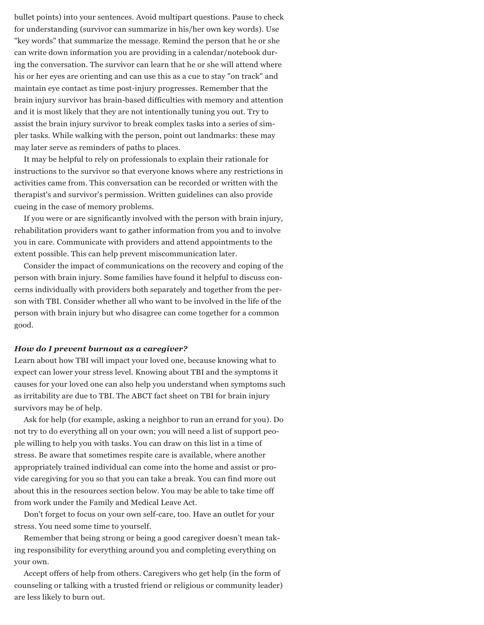bullet points) into your sentences. Avoid multipart questions. Pause to check for understanding (survivor can summarize in his/her own key words). Use "key words" that summarize the message. Remind the person that he or she can write down information you are providing in a calendar/notebook during the conversation. The survivor can learn that he or she will attend where his or her eyes are orienting and can use this as a cue to stay "on track" and maintain eye contact as time post-injury progresses. Remember that the brain injury survivor has brain-based difficulties with memory and attention and it is most likely that they are not intentionally tuning you out. Try to assist the brain injury survivor to break complex tasks into a series of simpler tasks. While walking with the person, point out landmarks: these may may later serve as reminders of paths to places.

It may be helpful to rely on professionals to explain their rationale for instructions to the survivor so that everyone knows where any restrictions in activities came from. This conversation can be recorded or written with the therapist's and survivor's permission. Written guidelines can also provide cueing in the case of memory problems.

If you were or are significantly involved with the person with brain injury, rehabilitation providers want to gather information from you and to involve you in care. Communicate with providers and attend appointments to the extent possible. This can help prevent miscommunication later.

Consider the impact of communications on the recovery and coping of the person with brain injury. Some families have found it helpful to discuss concerns individually with providers both separately and together from the person with TBI. Consider whether all who want to be involved in the life of the person with brain injury but who disagree can come together for a common good.

#### *How do I prevent burnout as a caregiver?*

Learn about how TBI will impact your loved one, because knowing what to expect can lower your stress level. Knowing about TBI and the symptoms it causes for your loved one can also help you understand when symptoms such as irritability are due to TBI. The ABCT fact sheet on TBI for brain injury survivors may be of help.

Ask for help (for example, asking a neighbor to run an errand for you). Do not try to do everything all on your own; you will need a list of support people willing to help you with tasks. You can draw on this list in a time of stress. Be aware that sometimes respite care is available, where another appropriately trained individual can come into the home and assist or provide caregiving for you so that you can take a break. You can find more out about this in the resources section below. You may be able to take time off from work under the Family and Medical Leave Act.

Don't forget to focus on your own self-care, too. Have an outlet for your stress. You need some time to yourself.

Remember that being strong or being a good caregiver doesn't mean taking responsibility for everything around you and completing everything on your own.

Accept offers of help from others. Caregivers who get help (in the form of counseling or talking with a trusted friend or religious or community leader) are less likely to burn out.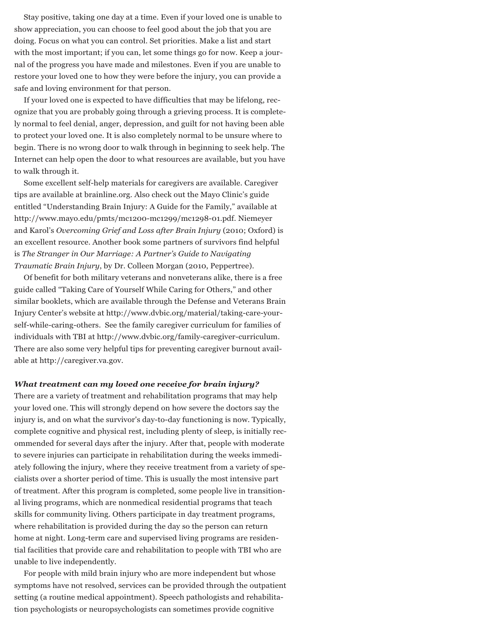Stay positive, taking one day at a time. Even if your loved one is unable to show appreciation, you can choose to feel good about the job that you are doing. Focus on what you can control. Set priorities. Make a list and start with the most important; if you can, let some things go for now. Keep a journal of the progress you have made and milestones. Even if you are unable to restore your loved one to how they were before the injury, you can provide a safe and loving environment for that person.

If your loved one is expected to have difficulties that may be lifelong, recognize that you are probably going through a grieving process. It is completely normal to feel denial, anger, depression, and guilt for not having been able to protect your loved one. It is also completely normal to be unsure where to begin. There is no wrong door to walk through in beginning to seek help. The Internet can help open the door to what resources are available, but you have to walk through it.

Some excellent self-help materials for caregivers are available. Caregiver tips are available at brainline.org. Also check out the Mayo Clinic's guide entitled "Understanding Brain Injury: A Guide for the Family," available at http://www.mayo.edu/pmts/mc1200-mc1299/mc1298-01.pdf. Niemeyer and Karol's *Overcoming Grief and Loss after Brain Injury* (2010; Oxford) is an excellent resource. Another book some partners of survivors find helpful is *The Stranger in Our Marriage: A Partner's Guide to Navigating Traumatic Brain Injury*, by Dr. Colleen Morgan (2010, Peppertree).

Of benefit for both military veterans and nonveterans alike, there is a free guide called "Taking Care of Yourself While Caring for Others," and other similar booklets, which are available through the Defense and Veterans Brain Injury Center's website at http://www.dvbic.org/material/taking-care-yourself-while-caring-others. See the family caregiver curriculum for families of individuals with TBI at http://www.dvbic.org/family-caregiver-curriculum. There are also some very helpful tips for preventing caregiver burnout available at http://caregiver.va.gov.

#### *What treatment can my loved one receive for brain injury?*

There are a variety of treatment and rehabilitation programs that may help your loved one. This will strongly depend on how severe the doctors say the injury is, and on what the survivor's day-to-day functioning is now. Typically, complete cognitive and physical rest, including plenty of sleep, is initially recommended for several days after the injury. After that, people with moderate to severe injuries can participate in rehabilitation during the weeks immediately following the injury, where they receive treatment from a variety of specialists over a shorter period of time. This is usually the most intensive part of treatment. After this program is completed, some people live in transitional living programs, which are nonmedical residential programs that teach skills for community living. Others participate in day treatment programs, where rehabilitation is provided during the day so the person can return home at night. Long-term care and supervised living programs are residential facilities that provide care and rehabilitation to people with TBI who are unable to live independently.

For people with mild brain injury who are more independent but whose symptoms have not resolved, services can be provided through the outpatient setting (a routine medical appointment). Speech pathologists and rehabilitation psychologists or neuropsychologists can sometimes provide cognitive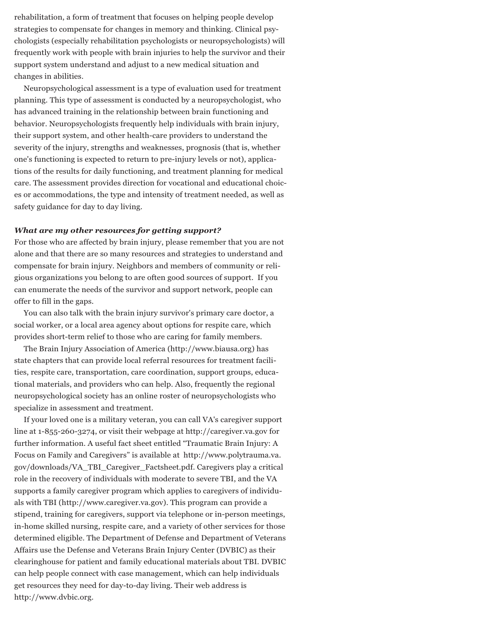rehabilitation, a form of treatment that focuses on helping people develop strategies to compensate for changes in memory and thinking. Clinical psychologists (especially rehabilitation psychologists or neuropsychologists) will frequently work with people with brain injuries to help the survivor and their support system understand and adjust to a new medical situation and changes in abilities.

Neuropsychological assessment is a type of evaluation used for treatment planning. This type of assessment is conducted by a neuropsychologist, who has advanced training in the relationship between brain functioning and behavior. Neuropsychologists frequently help individuals with brain injury, their support system, and other health-care providers to understand the severity of the injury, strengths and weaknesses, prognosis (that is, whether one's functioning is expected to return to pre-injury levels or not), applications of the results for daily functioning, and treatment planning for medical care. The assessment provides direction for vocational and educational choices or accommodations, the type and intensity of treatment needed, as well as safety guidance for day to day living.

#### *What are my other resources for getting support?*

For those who are affected by brain injury, please remember that you are not alone and that there are so many resources and strategies to understand and compensate for brain injury. Neighbors and members of community or religious organizations you belong to are often good sources of support. If you can enumerate the needs of the survivor and support network, people can offer to fill in the gaps.

You can also talk with the brain injury survivor's primary care doctor, a social worker, or a local area agency about options for respite care, which provides short-term relief to those who are caring for family members.

The Brain Injury Association of America (http://www.biausa.org) has state chapters that can provide local referral resources for treatment facilities, respite care, transportation, care coordination, support groups, educational materials, and providers who can help. Also, frequently the regional neuropsychological society has an online roster of neuropsychologists who specialize in assessment and treatment.

If your loved one is a military veteran, you can call VA's caregiver support line at 1-855-260-3274, or visit their webpage at http://caregiver.va.gov for further information. A useful fact sheet entitled "Traumatic Brain Injury: A Focus on Family and Caregivers" is available at http://www.polytrauma.va. gov/downloads/VA\_TBI\_Caregiver\_Factsheet.pdf. Caregivers play a critical role in the recovery of individuals with moderate to severe TBI, and the VA supports a family caregiver program which applies to caregivers of individuals with TBI (http://www.caregiver.va.gov). This program can provide a stipend, training for caregivers, support via telephone or in-person meetings, in-home skilled nursing, respite care, and a variety of other services for those determined eligible. The Department of Defense and Department of Veterans Affairs use the Defense and Veterans Brain Injury Center (DVBIC) as their clearinghouse for patient and family educational materials about TBI. DVBIC can help people connect with case management, which can help individuals get resources they need for day-to-day living. Their web address is http://www.dvbic.org.